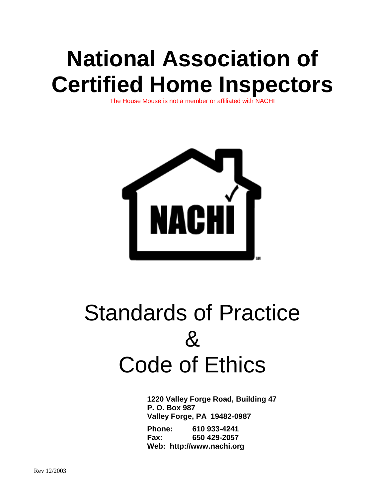The House Mouse is not a member or affiliated with NACHI



# Standards of Practice  $\mathbf{\alpha}$ Code of Ethics

**1220 Valley Forge Road, Building 47 P. O. Box 987 Valley Forge, PA 19482-0987**

**Phone: 610 933-4241 Fax: 650 429-2057 Web: http://www.nachi.org**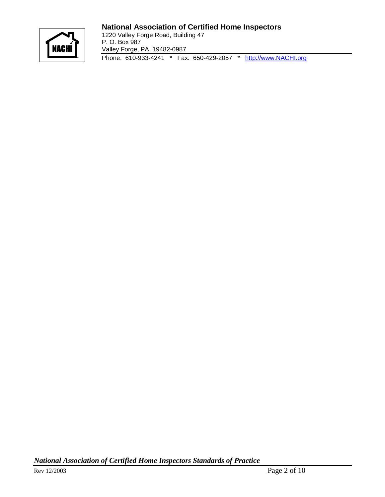

1220 Valley Forge Road, Building 47 P. O. Box 987 Valley Forge, PA 19482-0987 Phone: 610-933-4241 \* Fax: 650-429-2057 \* [http://www.NACHI.org](http://www.nachi.org/)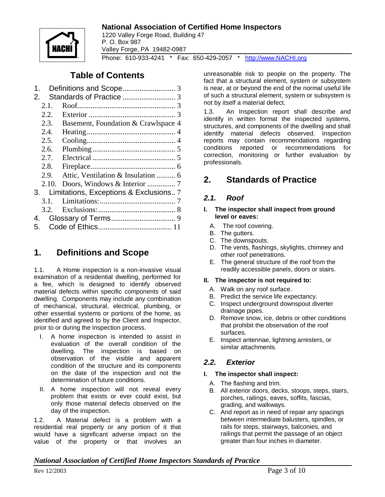

1220 Valley Forge Road, Building 47 P. O. Box 987 Valley Forge, PA 19482-0987

Phone: 610-933-4241 \* Fax: 650-429-2057 \* [http://www.NACHI.org](http://www.nachi.org/)

# **Table of Contents**

| 2. |                                           |                                     |  |
|----|-------------------------------------------|-------------------------------------|--|
|    | 2.1.                                      |                                     |  |
|    | 2.2.                                      |                                     |  |
|    | 2.3.                                      | Basement, Foundation & Crawlspace 4 |  |
|    | 2.4.                                      |                                     |  |
|    | 2.5.                                      |                                     |  |
|    | 2.6.                                      |                                     |  |
|    | 2.7.                                      |                                     |  |
|    | 2.8.                                      |                                     |  |
|    | 2.9.                                      |                                     |  |
|    |                                           |                                     |  |
|    | 3. Limitations, Exceptions & Exclusions 7 |                                     |  |
|    | 3.1.                                      |                                     |  |
|    | 3.2                                       |                                     |  |
|    |                                           |                                     |  |
|    |                                           |                                     |  |

# **1. Definitions and Scope**

1.1. A Home inspection is a non-invasive visual examination of a residential dwelling, performed for a fee, which is designed to identify observed material defects within specific components of said dwelling. Components may include any combination of mechanical, structural, electrical, plumbing, or other essential systems or portions of the home, as identified and agreed to by the Client and Inspector, prior to or during the inspection process.

- I. A home inspection is intended to assist in evaluation of the overall condition of the dwelling. The inspection is based on observation of the visible and apparent condition of the structure and its components on the date of the inspection and not the determination of future conditions.
- II. A home inspection will not reveal every problem that exists or ever could exist, but only those material defects observed on the day of the inspection.

1.2. A Material defect is a problem with a residential real property or any portion of it that would have a significant adverse impact on the value of the property or that involves an

unreasonable risk to people on the property. The fact that a structural element, system or subsystem is near, at or beyond the end of the normal useful life of such a structural element, system or subsystem is not by itself a material defect.

1.3. An Inspection report shall describe and identify in written format the inspected systems, structures, and components of the dwelling and shall identify material defects observed. Inspection reports may contain recommendations regarding conditions reported or recommendations for correction, monitoring or further evaluation by professionals.

# **2. Standards of Practice**

# *2.1. Roof*

#### **I. The inspector shall inspect from ground level or eaves:**

- A. The roof covering.
- B. The gutters.
- C. The downspouts.
- D. The vents, flashings, skylights, chimney and other roof penetrations.
- E. The general structure of the roof from the readily accessible panels, doors or stairs.

#### **II. The inspector is not required to:**

- A. Walk on any roof surface.
- B. Predict the service life expectancy.
- C. Inspect underground downspout diverter drainage pipes.
- D. Remove snow, ice, debris or other conditions that prohibit the observation of the roof surfaces.
- E. Inspect antennae, lightning arresters, or similar attachments.

# *2.2. Exterior*

#### **I. The inspector shall inspect:**

- A. The flashing and trim.
- B. All exterior doors, decks, stoops, steps, stairs, porches, railings, eaves, soffits, fascias, grading, and walkways.
- C. And report as in need of repair any spacings between intermediate balusters, spindles, or rails for steps, stairways, balconies, and railings that permit the passage of an object greater than four inches in diameter.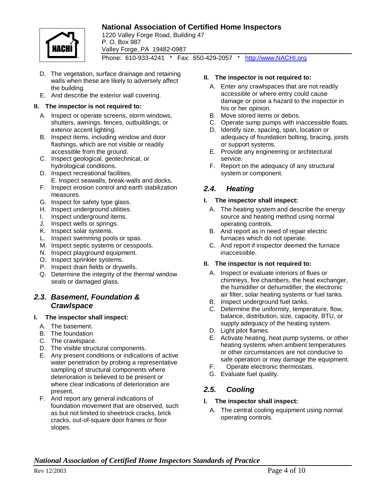

1220 Valley Forge Road, Building 47 P. O. Box 987 Valley Forge, PA 19482-0987 Phone: 610-933-4241 \* Fax: 650-429-2057 \* [http://www.NACHI.org](http://www.nachi.org/)

- D. The vegetation, surface drainage and retaining walls when these are likely to adversely affect the building.
- E. And describe the exterior wall covering.

#### **II. The inspector is not required to:**

- A. Inspect or operate screens, storm windows, shutters, awnings, fences, outbuildings, or exterior accent lighting.
- B. Inspect items, including window and door flashings, which are not visible or readily accessible from the ground.
- C. Inspect geological, geotechnical, or hydrological conditions.
- D. Inspect recreational facilities. E. Inspect seawalls, break-walls and docks.
- F. Inspect erosion control and earth stabilization measures.
- G. Inspect for safety type glass.
- H. Inspect underground utilities.
- I. Inspect underground items.
- J. Inspect wells or springs.
- K. Inspect solar systems.
- L. Inspect swimming pools or spas.
- M. Inspect septic systems or cesspools.
- N. Inspect playground equipment.
- O. Inspect sprinkler systems.
- P. Inspect drain fields or drywells.
- Q. Determine the integrity of the thermal window seals or damaged glass.

## *2.3. Basement, Foundation & Crawlspace*

#### **I. The inspector shall inspect:**

- A. The basement.
- B. The foundation
- C. The crawlspace.
- D. The visible structural components.
- E. Any present conditions or indications of active water penetration by probing a representative sampling of structural components where deterioration is believed to be present or where clear indications of deterioration are present.
- F. And report any general indications of foundation movement that are observed, such as but not limited to sheetrock cracks, brick cracks, out-of-square door frames or floor slopes.

#### **II. The inspector is not required to:**

- A. Enter any crawlspaces that are not readily accessible or where entry could cause damage or pose a hazard to the inspector in his or her opinion.
- B. Move stored items or debris.
- C. Operate sump pumps with inaccessible floats.
- D. Identify size, spacing, span, location or adequacy of foundation bolting, bracing, joists or support systems.
- E. Provide any engineering or architectural service.
- F. Report on the adequacy of any structural system or component.

## *2.4. Heating*

#### **I. The inspector shall inspect:**

- A. The heating system and describe the energy source and heating method using normal operating controls.
- B. And report as in need of repair electric furnaces which do not operate.
- C. And report if inspector deemed the furnace inaccessible.

#### **II. The inspector is not required to:**

- A. Inspect or evaluate interiors of flues or chimneys, fire chambers, the heat exchanger, the humidifier or dehumidifier, the electronic air filter, solar heating systems or fuel tanks.
- B. Inspect underground fuel tanks.
- C. Determine the uniformity, temperature, flow, balance, distribution, size, capacity, BTU, or supply adequacy of the heating system.
- D. Light pilot flames.
- E. Activate heating, heat pump systems, or other heating systems when ambient temperatures or other circumstances are not conducive to safe operation or may damage the equipment.
- F. Operate electronic thermostats.
- G. Evaluate fuel quality.

# *2.5. Cooling*

#### **I. The inspector shall inspect:**

A. The central cooling equipment using normal operating controls.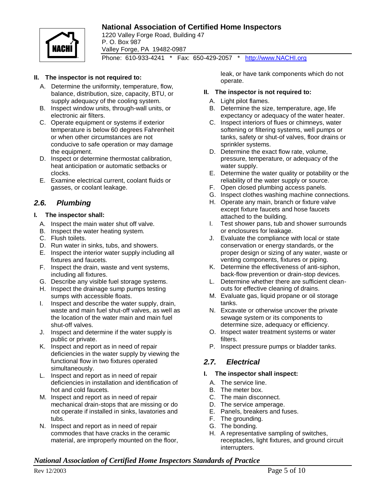

1220 Valley Forge Road, Building 47 P. O. Box 987 Valley Forge, PA 19482-0987

Phone: 610-933-4241 \* Fax: 650-429-2057 \* [http://www.NACHI.org](http://www.nachi.org/)

#### **II. The inspector is not required to:**

- A. Determine the uniformity, temperature, flow, balance, distribution, size, capacity, BTU, or supply adequacy of the cooling system.
- B. Inspect window units, through-wall units, or electronic air filters.
- C. Operate equipment or systems if exterior temperature is below 60 degrees Fahrenheit or when other circumstances are not conducive to safe operation or may damage the equipment.
- D. Inspect or determine thermostat calibration, heat anticipation or automatic setbacks or clocks.
- E. Examine electrical current, coolant fluids or gasses, or coolant leakage.

## *2.6. Plumbing*

#### **I. The inspector shall:**

- A. Inspect the main water shut off valve.
- B. Inspect the water heating system.
- C. Flush toilets.
- D. Run water in sinks, tubs, and showers.
- E. Inspect the interior water supply including all fixtures and faucets.
- F. Inspect the drain, waste and vent systems, including all fixtures.
- G. Describe any visible fuel storage systems.
- H. Inspect the drainage sump pumps testing sumps with accessible floats.
- I. Inspect and describe the water supply, drain, waste and main fuel shut-off valves, as well as the location of the water main and main fuel shut-off valves.
- J. Inspect and determine if the water supply is public or private.
- K. Inspect and report as in need of repair deficiencies in the water supply by viewing the functional flow in two fixtures operated simultaneously.
- L. Inspect and report as in need of repair deficiencies in installation and identification of hot and cold faucets.
- M. Inspect and report as in need of repair mechanical drain-stops that are missing or do not operate if installed in sinks, lavatories and tubs.
- N. Inspect and report as in need of repair commodes that have cracks in the ceramic material, are improperly mounted on the floor,

leak, or have tank components which do not operate.

#### **II. The inspector is not required to:**

- A. Light pilot flames.
- B. Determine the size, temperature, age, life expectancy or adequacy of the water heater.
- C. Inspect interiors of flues or chimneys, water softening or filtering systems, well pumps or tanks, safety or shut-of valves, floor drains or sprinkler systems.
- D. Determine the exact flow rate, volume, pressure, temperature, or adequacy of the water supply.
- E. Determine the water quality or potability or the reliability of the water supply or source.
- F. Open closed plumbing access panels.
- G. Inspect clothes washing machine connections.
- H. Operate any main, branch or fixture valve except fixture faucets and hose faucets attached to the building.
- I. Test shower pans, tub and shower surrounds or enclosures for leakage.
- J. Evaluate the compliance with local or state conservation or energy standards, or the proper design or sizing of any water, waste or venting components, fixtures or piping.
- K. Determine the effectiveness of anti-siphon, back-flow prevention or drain-stop devices.
- L. Determine whether there are sufficient cleanouts for effective cleaning of drains.
- M. Evaluate gas, liquid propane or oil storage tanks.
- N. Excavate or otherwise uncover the private sewage system or its components to determine size, adequacy or efficiency.
- O. Inspect water treatment systems or water filters.
- P. Inspect pressure pumps or bladder tanks.

# *2.7. Electrical*

#### **I. The inspector shall inspect:**

- A. The service line.
- B. The meter box.
- C. The main disconnect.
- D. The service amperage.
- E. Panels, breakers and fuses.
- F. The grounding.
- G. The bonding.
- H. A representative sampling of switches, receptacles, light fixtures, and ground circuit interrupters.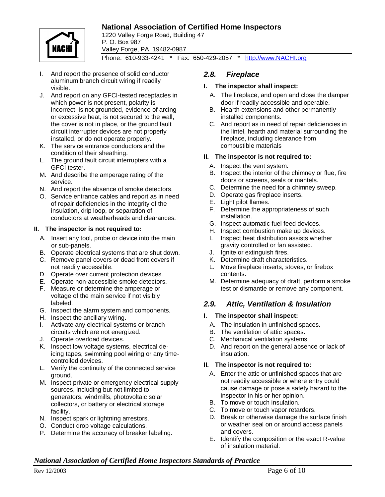

P. O. Box 987 Valley Forge, PA 19482-0987 Phone: 610-933-4241 \* Fax: 650-429-2057 \* [http://www.NACHI.org](http://www.nachi.org/)

1220 Valley Forge Road, Building 47

- I. And report the presence of solid conductor aluminum branch circuit wiring if readily visible.
- J. And report on any GFCI-tested receptacles in which power is not present, polarity is incorrect, is not grounded, evidence of arcing or excessive heat, is not secured to the wall, the cover is not in place, or the ground fault circuit interrupter devices are not properly installed, or do not operate properly.
- K. The service entrance conductors and the condition of their sheathing.
- L. The ground fault circuit interrupters with a GFCI tester.
- M. And describe the amperage rating of the service.
- N. And report the absence of smoke detectors.
- O. Service entrance cables and report as in need of repair deficiencies in the integrity of the insulation, drip loop, or separation of conductors at weatherheads and clearances.

#### **II. The inspector is not required to:**

- A. Insert any tool, probe or device into the main or sub-panels.
- B. Operate electrical systems that are shut down.
- C. Remove panel covers or dead front covers if not readily accessible.
- D. Operate over current protection devices.
- E. Operate non-accessible smoke detectors.
- F. Measure or determine the amperage or voltage of the main service if not visibly labeled.
- G. Inspect the alarm system and components.
- H. Inspect the ancillary wiring.
- I. Activate any electrical systems or branch circuits which are not energized.
- J. Operate overload devices.
- K. Inspect low voltage systems, electrical deicing tapes, swimming pool wiring or any timecontrolled devices.
- L. Verify the continuity of the connected service ground.
- M. Inspect private or emergency electrical supply sources, including but not limited to generators, windmills, photovoltaic solar collectors, or battery or electrical storage facility.
- N. Inspect spark or lightning arrestors.
- O. Conduct drop voltage calculations.
- P. Determine the accuracy of breaker labeling.

#### *2.8. Fireplace*

#### **I. The inspector shall inspect:**

- A. The fireplace, and open and close the damper door if readily accessible and operable.
- B. Hearth extensions and other permanently installed components.
- C. And report as in need of repair deficiencies in the lintel, hearth and material surrounding the fireplace, including clearance from combustible materials

#### **II. The inspector is not required to:**

- A. Inspect the vent system.
- B. Inspect the interior of the chimney or flue, fire doors or screens, seals or mantels.
- C. Determine the need for a chimney sweep.
- D. Operate gas fireplace inserts.
- E. Light pilot flames.
- F. Determine the appropriateness of such installation.
- G. Inspect automatic fuel feed devices.
- H. Inspect combustion make up devices.
- I. Inspect heat distribution assists whether gravity controlled or fan assisted.
- J. Ignite or extinguish fires.
- K. Determine draft characteristics.
- L. Move fireplace inserts, stoves, or firebox contents.
- M. Determine adequacy of draft, perform a smoke test or dismantle or remove any component.

### *2.9. Attic, Ventilation & Insulation*

#### **I. The inspector shall inspect:**

- A. The insulation in unfinished spaces.
- B. The ventilation of attic spaces.
- C. Mechanical ventilation systems.
- D. And report on the general absence or lack of insulation.

#### **II. The inspector is not required to:**

- A. Enter the attic or unfinished spaces that are not readily accessible or where entry could cause damage or pose a safety hazard to the inspector in his or her opinion.
- B. To move or touch insulation.
- C. To move or touch vapor retarders.
- D. Break or otherwise damage the surface finish or weather seal on or around access panels and covers.
- E. Identify the composition or the exact R-value of insulation material.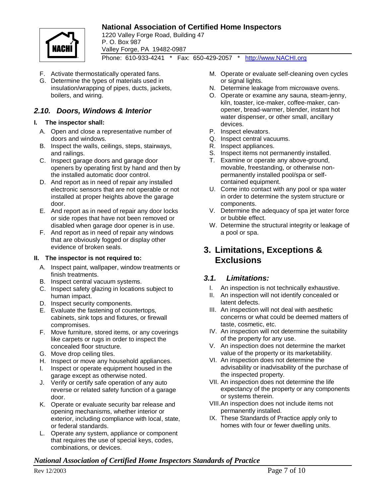

1220 Valley Forge Road, Building 47 P. O. Box 987 Valley Forge, PA 19482-0987

Phone: 610-933-4241 \* Fax: 650-429-2057 \* [http://www.NACHI.org](http://www.nachi.org/)

- F. Activate thermostatically operated fans.
- G. Determine the types of materials used in insulation/wrapping of pipes, ducts, jackets, boilers, and wiring.

# *2.10. Doors, Windows & Interior*

#### **I. The inspector shall:**

- A. Open and close a representative number of doors and windows.
- B. Inspect the walls, ceilings, steps, stairways, and railings.
- C. Inspect garage doors and garage door openers by operating first by hand and then by the installed automatic door control.
- D. And report as in need of repair any installed electronic sensors that are not operable or not installed at proper heights above the garage door.
- E. And report as in need of repair any door locks or side ropes that have not been removed or disabled when garage door opener is in use.
- F. And report as in need of repair any windows that are obviously fogged or display other evidence of broken seals.

#### **II. The inspector is not required to:**

- A. Inspect paint, wallpaper, window treatments or finish treatments.
- B. Inspect central vacuum systems.
- C. Inspect safety glazing in locations subject to human impact.
- D. Inspect security components.
- E. Evaluate the fastening of countertops, cabinets, sink tops and fixtures, or firewall compromises.
- F. Move furniture, stored items, or any coverings like carpets or rugs in order to inspect the concealed floor structure.
- G. Move drop ceiling tiles.
- H. Inspect or move any household appliances.
- I. Inspect or operate equipment housed in the garage except as otherwise noted.
- J. Verify or certify safe operation of any auto reverse or related safety function of a garage door.
- K. Operate or evaluate security bar release and opening mechanisms, whether interior or exterior, including compliance with local, state, or federal standards.
- L. Operate any system, appliance or component that requires the use of special keys, codes, combinations, or devices.
- M. Operate or evaluate self-cleaning oven cycles or signal lights.
- N. Determine leakage from microwave ovens.
- O. Operate or examine any sauna, steam-jenny, kiln, toaster, ice-maker, coffee-maker, canopener, bread-warmer, blender, instant hot water dispenser, or other small, ancillary devices.
- P. Inspect elevators.
- Q. Inspect central vacuums.
- R. Inspect appliances.
- S. Inspect items not permanently installed.
- T. Examine or operate any above-ground, movable, freestanding, or otherwise nonpermanently installed pool/spa or selfcontained equipment.
- U. Come into contact with any pool or spa water in order to determine the system structure or components.
- V. Determine the adequacy of spa jet water force or bubble effect.
- W. Determine the structural integrity or leakage of a pool or spa.

# **3. Limitations, Exceptions & Exclusions**

# *3.1. Limitations:*

- I. An inspection is not technically exhaustive.
- II. An inspection will not identify concealed or latent defects.
- III. An inspection will not deal with aesthetic concerns or what could be deemed matters of taste, cosmetic, etc.
- IV. An inspection will not determine the suitability of the property for any use.
- V. An inspection does not determine the market value of the property or its marketability.
- VI. An inspection does not determine the advisability or inadvisability of the purchase of the inspected property.
- VII. An inspection does not determine the life expectancy of the property or any components or systems therein.
- VIII.An inspection does not include items not permanently installed.
- IX. These Standards of Practice apply only to homes with four or fewer dwelling units.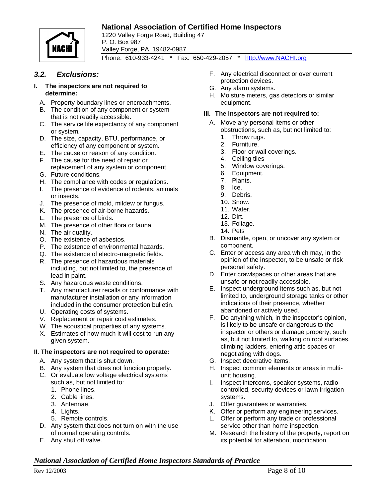

1220 Valley Forge Road, Building 47 P. O. Box 987 Valley Forge, PA 19482-0987

Phone: 610-933-4241 \* Fax: 650-429-2057 \* [http://www.NACHI.org](http://www.nachi.org/)

## *3.2. Exclusions:*

- **I. The inspectors are not required to determine:** 
	- A. Property boundary lines or encroachments.
	- B. The condition of any component or system that is not readily accessible.
	- C. The service life expectancy of any component or system.
	- D. The size, capacity, BTU, performance, or efficiency of any component or system.
	- E. The cause or reason of any condition.
	- F. The cause for the need of repair or replacement of any system or component.
	- G. Future conditions.
	- H. The compliance with codes or regulations.
	- I. The presence of evidence of rodents, animals or insects.
	- J. The presence of mold, mildew or fungus.
	- K. The presence of air-borne hazards.
	- L. The presence of birds.
	- M. The presence of other flora or fauna.
	- N. The air quality.
	- O. The existence of asbestos.
	- P. The existence of environmental hazards.
	- Q. The existence of electro-magnetic fields.
	- R. The presence of hazardous materials including, but not limited to, the presence of lead in paint.
	- S. Any hazardous waste conditions.
	- T. Any manufacturer recalls or conformance with manufacturer installation or any information included in the consumer protection bulletin.
	- U. Operating costs of systems.
	- V. Replacement or repair cost estimates.
	- W. The acoustical properties of any systems.
	- X. Estimates of how much it will cost to run any given system.

#### **II. The inspectors are not required to operate:**

- A. Any system that is shut down.
- B. Any system that does not function properly.
- C. Or evaluate low voltage electrical systems such as, but not limited to:
	- 1. Phone lines.
	- 2. Cable lines.
	- 3. Antennae.
	- 4. Lights.
	- 5. Remote controls.
- D. Any system that does not turn on with the use of normal operating controls.
- E. Any shut off valve.
- F. Any electrical disconnect or over current protection devices.
- G. Any alarm systems.
- H. Moisture meters, gas detectors or similar equipment.

#### **III. The inspectors are not required to:**

- A. Move any personal items or other obstructions, such as, but not limited to:
	- 1. Throw rugs.
	- 2. Furniture.
	- 3. Floor or wall coverings.
	- 4. Ceiling tiles
	- 5. Window coverings.
	- 6. Equipment.
	- 7. Plants.
	- 8. Ice.
	- 9. Debris.
	- 10. Snow.
	- 11. Water.
	- 12. Dirt.
	- 13. Foliage.
	- 14. Pets
- B. Dismantle, open, or uncover any system or component.
- C. Enter or access any area which may, in the opinion of the inspector, to be unsafe or risk personal safety.
- D. Enter crawlspaces or other areas that are unsafe or not readily accessible.
- E. Inspect underground items such as, but not limited to, underground storage tanks or other indications of their presence, whether abandoned or actively used.
- F. Do anything which, in the inspector's opinion, is likely to be unsafe or dangerous to the inspector or others or damage property, such as, but not limited to, walking on roof surfaces, climbing ladders, entering attic spaces or negotiating with dogs.
- G. Inspect decorative items.
- H. Inspect common elements or areas in multiunit housing.
- I. Inspect intercoms, speaker systems, radiocontrolled, security devices or lawn irrigation systems.
- J. Offer guarantees or warranties.
- K. Offer or perform any engineering services.
- L. Offer or perform any trade or professional service other than home inspection.
- M. Research the history of the property, report on its potential for alteration, modification,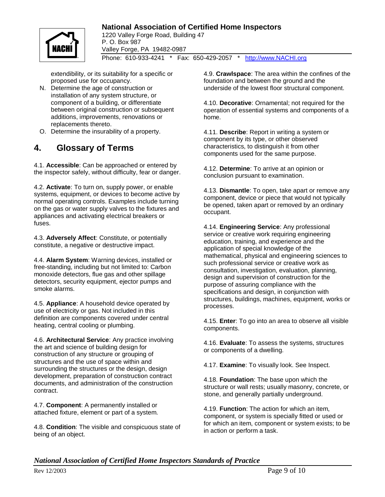

1220 Valley Forge Road, Building 47 P. O. Box 987 Valley Forge, PA 19482-0987 Phone: 610-933-4241 \* Fax: 650-429-2057 \* [http://www.NACHI.org](http://www.nachi.org/)

extendibility, or its suitability for a specific or proposed use for occupancy.

- N. Determine the age of construction or installation of any system structure, or component of a building, or differentiate between original construction or subsequent additions, improvements, renovations or replacements thereto.
- O. Determine the insurability of a property.

# **4. Glossary of Terms**

4.1. **Accessible**: Can be approached or entered by the inspector safely, without difficulty, fear or danger.

4.2. **Activate**: To turn on, supply power, or enable systems, equipment, or devices to become active by normal operating controls. Examples include turning on the gas or water supply valves to the fixtures and appliances and activating electrical breakers or fuses.

4.3. **Adversely Affect**: Constitute, or potentially constitute, a negative or destructive impact.

4.4. **Alarm System**: Warning devices, installed or free-standing, including but not limited to: Carbon monoxide detectors, flue gas and other spillage detectors, security equipment, ejector pumps and smoke alarms.

4.5. **Appliance**: A household device operated by use of electricity or gas. Not included in this definition are components covered under central heating, central cooling or plumbing.

4.6. **Architectural Service**: Any practice involving the art and science of building design for construction of any structure or grouping of structures and the use of space within and surrounding the structures or the design, design development, preparation of construction contract documents, and administration of the construction contract.

4.7. **Component**: A permanently installed or attached fixture, element or part of a system.

4.8. **Condition**: The visible and conspicuous state of being of an object.

4.9. **Crawlspace**: The area within the confines of the foundation and between the ground and the underside of the lowest floor structural component.

4.10. **Decorative**: Ornamental; not required for the operation of essential systems and components of a home.

4.11. **Describe**: Report in writing a system or component by its type, or other observed characteristics, to distinguish it from other components used for the same purpose.

4.12. **Determine**: To arrive at an opinion or conclusion pursuant to examination.

4.13. **Dismantle**: To open, take apart or remove any component, device or piece that would not typically be opened, taken apart or removed by an ordinary occupant.

4.14. **Engineering Service**: Any professional service or creative work requiring engineering education, training, and experience and the application of special knowledge of the mathematical, physical and engineering sciences to such professional service or creative work as consultation, investigation, evaluation, planning, design and supervision of construction for the purpose of assuring compliance with the specifications and design, in conjunction with structures, buildings, machines, equipment, works or processes.

4.15. **Enter**: To go into an area to observe all visible components.

4.16. **Evaluate**: To assess the systems, structures or components of a dwelling.

4.17. **Examine**: To visually look. See Inspect.

4.18. **Foundation**: The base upon which the structure or wall rests; usually masonry, concrete, or stone, and generally partially underground.

4.19. **Function**: The action for which an item, component, or system is specially fitted or used or for which an item, component or system exists; to be in action or perform a task.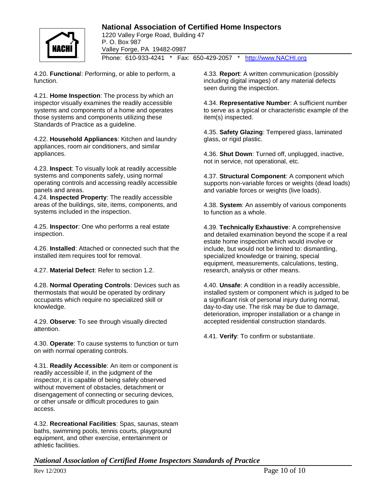

1220 Valley Forge Road, Building 47 P. O. Box 987 Valley Forge, PA 19482-0987 Phone: 610-933-4241 \* Fax: 650-429-2057 \* [http://www.NACHI.org](http://www.nachi.org/)

4.20. **Functiona**l: Performing, or able to perform, a function.

4.21. **Home Inspection**: The process by which an inspector visually examines the readily accessible systems and components of a home and operates those systems and components utilizing these Standards of Practice as a guideline.

4.22. **Household Appliances**: Kitchen and laundry appliances, room air conditioners, and similar appliances.

4.23. **Inspect**: To visually look at readily accessible systems and components safely, using normal operating controls and accessing readily accessible panels and areas.

4.24. **Inspected Property**: The readily accessible areas of the buildings, site, items, components, and systems included in the inspection.

4.25. **Inspector**: One who performs a real estate inspection.

4.26. **Installed**: Attached or connected such that the installed item requires tool for removal.

4.27. **Material Defect**: Refer to section 1.2.

4.28. **Normal Operating Controls**: Devices such as thermostats that would be operated by ordinary occupants which require no specialized skill or knowledge.

4.29. **Observe**: To see through visually directed attention.

4.30. **Operate**: To cause systems to function or turn on with normal operating controls.

4.31. **Readily Accessible**: An item or component is readily accessible if, in the judgment of the inspector, it is capable of being safely observed without movement of obstacles, detachment or disengagement of connecting or securing devices, or other unsafe or difficult procedures to gain access.

4.32. **Recreational Facilities**: Spas, saunas, steam baths, swimming pools, tennis courts, playground equipment, and other exercise, entertainment or athletic facilities.

4.33. **Report**: A written communication (possibly including digital images) of any material defects seen during the inspection.

4.34. **Representative Number**: A sufficient number to serve as a typical or characteristic example of the item(s) inspected.

4.35. **Safety Glazing**: Tempered glass, laminated glass, or rigid plastic.

4.36. **Shut Down**: Turned off, unplugged, inactive, not in service, not operational, etc.

4.37. **Structural Component**: A component which supports non-variable forces or weights (dead loads) and variable forces or weights (live loads).

4.38. **System**: An assembly of various components to function as a whole.

4.39. **Technically Exhaustive**: A comprehensive and detailed examination beyond the scope if a real estate home inspection which would involve or include, but would not be limited to: dismantling, specialized knowledge or training, special equipment, measurements, calculations, testing, research, analysis or other means.

4.40. **Unsafe**: A condition in a readily accessible, installed system or component which is judged to be a significant risk of personal injury during normal, day-to-day use. The risk may be due to damage, deterioration, improper installation or a change in accepted residential construction standards.

4.41. **Verify**: To confirm or substantiate.